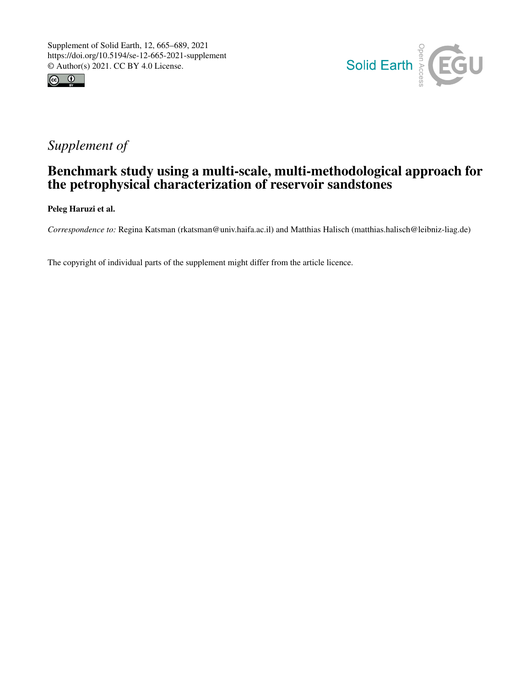



# *Supplement of*

# Benchmark study using a multi-scale, multi-methodological approach for the petrophysical characterization of reservoir sandstones

Peleg Haruzi et al.

*Correspondence to:* Regina Katsman (rkatsman@univ.haifa.ac.il) and Matthias Halisch (matthias.halisch@leibniz-liag.de)

The copyright of individual parts of the supplement might differ from the article licence.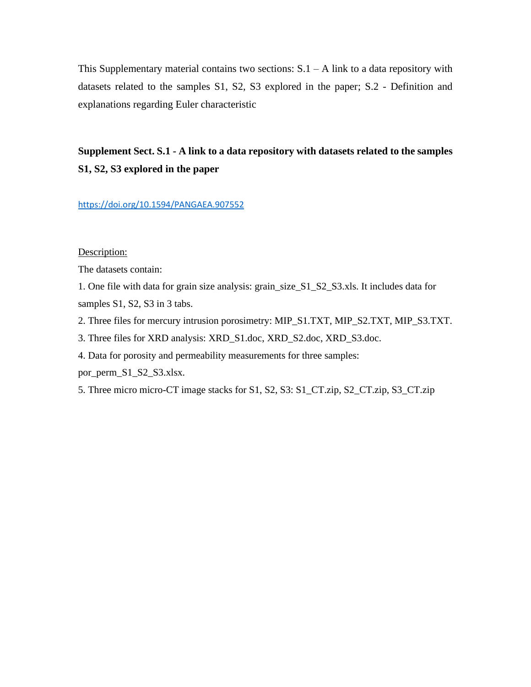This Supplementary material contains two sections:  $S.1 - A$  link to a data repository with datasets related to the samples S1, S2, S3 explored in the paper; S.2 - Definition and explanations regarding Euler characteristic

## **Supplement Sect. S.1 - A link to a data repository with datasets related to the samples S1, S2, S3 explored in the paper**

#### <https://doi.org/10.1594/PANGAEA.907552>

### Description:

The datasets contain:

1. One file with data for grain size analysis: grain\_size\_S1\_S2\_S3.xls. It includes data for samples S1, S2, S3 in 3 tabs.

- 2. Three files for mercury intrusion porosimetry: MIP\_S1.TXT, MIP\_S2.TXT, MIP\_S3.TXT.
- 3. Three files for XRD analysis: XRD\_S1.doc, XRD\_S2.doc, XRD\_S3.doc.
- 4. Data for porosity and permeability measurements for three samples:

por\_perm\_S1\_S2\_S3.xlsx.

5. Three micro micro-CT image stacks for S1, S2, S3: S1\_CT.zip, S2\_CT.zip, S3\_CT.zip